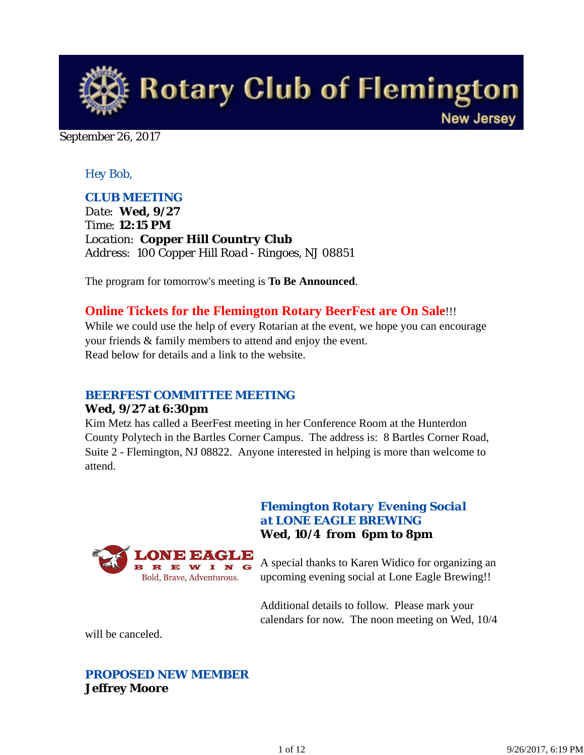

September 26, 2017

### *Hey Bob,*

### *CLUB MEETING*

*Date: Wed, 9/27 Time: 12:15 PM Location: Copper Hill Country Club Address: 100 Copper Hill Road - Ringoes, NJ 08851*

The program for tomorrow's meeting is **To Be Announced**.

## **Online Tickets for the Flemington Rotary BeerFest are On Sale**!!!

While we could use the help of every Rotarian at the event, we hope you can encourage your friends & family members to attend and enjoy the event. Read below for details and a link to the website.

#### *BEERFEST COMMITTEE MEETING*

Bold, Brave, Adventurous.

#### **Wed, 9/27 at 6:30pm**

Kim Metz has called a BeerFest meeting in her Conference Room at the Hunterdon County Polytech in the Bartles Corner Campus. The address is: 8 Bartles Corner Road, Suite 2 - Flemington, NJ 08822. Anyone interested in helping is more than welcome to attend.



### *Flemington Rotary Evening Social at LONE EAGLE BREWING* **Wed, 10/4 from 6pm to 8pm**

A special thanks to Karen Widico for organizing an upcoming evening social at Lone Eagle Brewing!!

Additional details to follow. Please mark your calendars for now. The noon meeting on Wed, 10/4

will be canceled.

## *PROPOSED NEW MEMBER* **Jeffrey Moore**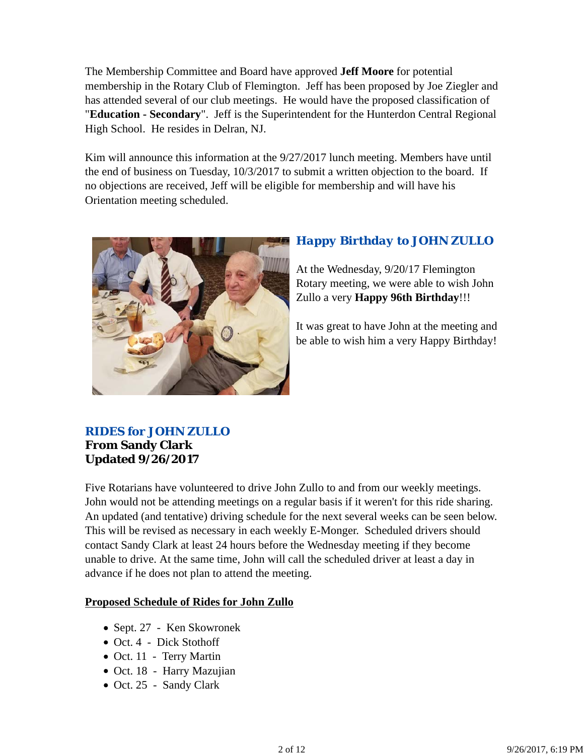The Membership Committee and Board have approved **Jeff Moore** for potential membership in the Rotary Club of Flemington. Jeff has been proposed by Joe Ziegler and has attended several of our club meetings. He would have the proposed classification of "**Education - Secondary**". Jeff is the Superintendent for the Hunterdon Central Regional High School. He resides in Delran, NJ.

Kim will announce this information at the 9/27/2017 lunch meeting. Members have until the end of business on Tuesday, 10/3/2017 to submit a written objection to the board. If no objections are received, Jeff will be eligible for membership and will have his Orientation meeting scheduled.



# *Happy Birthday to JOHN ZULLO*

At the Wednesday, 9/20/17 Flemington Rotary meeting, we were able to wish John Zullo a very **Happy 96th Birthday**!!!

It was great to have John at the meeting and be able to wish him a very Happy Birthday!

# *RIDES for JOHN ZULLO* **From Sandy Clark Updated 9/26/2017**

Five Rotarians have volunteered to drive John Zullo to and from our weekly meetings. John would not be attending meetings on a regular basis if it weren't for this ride sharing. An updated (and tentative) driving schedule for the next several weeks can be seen below. This will be revised as necessary in each weekly E-Monger. Scheduled drivers should contact Sandy Clark at least 24 hours before the Wednesday meeting if they become unable to drive. At the same time, John will call the scheduled driver at least a day in advance if he does not plan to attend the meeting.

#### **Proposed Schedule of Rides for John Zullo**

- Sept. 27 Ken Skowronek
- $\bullet$  Oct. 4 Dick Stothoff
- Oct. 11 Terry Martin
- Oct. 18 Harry Mazujian
- Oct. 25 Sandy Clark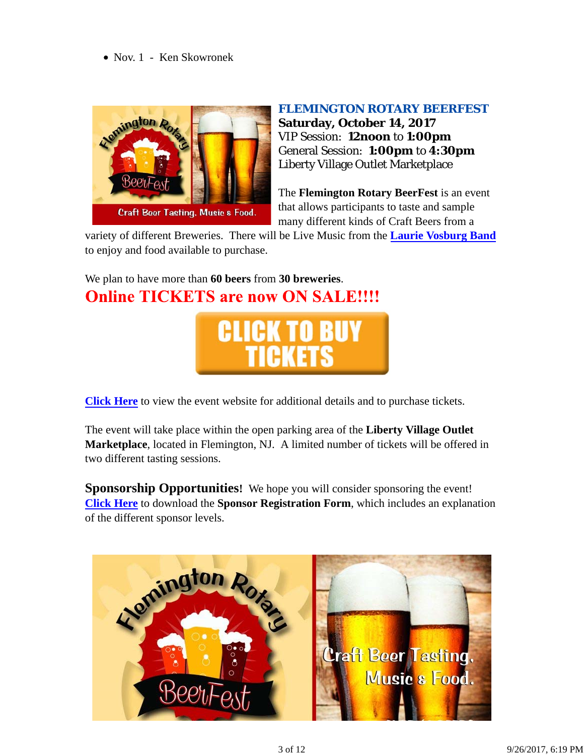• Nov. 1 - Ken Skowronek



#### *FLEMINGTON ROTARY BEERFEST*

**Saturday, October 14, 2017** VIP Session: **12noon** to **1:00pm** General Session: **1:00pm** to **4:30pm** Liberty Village Outlet Marketplace

The **Flemington Rotary BeerFest** is an event that allows participants to taste and sample many different kinds of Craft Beers from a

variety of different Breweries. There will be Live Music from the **Laurie Vosburg Band** to enjoy and food available to purchase.

We plan to have more than **60 beers** from **30 breweries**. **Online TICKETS are now ON SALE!!!!** 



**Click Here** to view the event website for additional details and to purchase tickets.

The event will take place within the open parking area of the **Liberty Village Outlet Marketplace**, located in Flemington, NJ. A limited number of tickets will be offered in two different tasting sessions.

**Sponsorship Opportunities!** We hope you will consider sponsoring the event! **Click Here** to download the **Sponsor Registration Form**, which includes an explanation of the different sponsor levels.

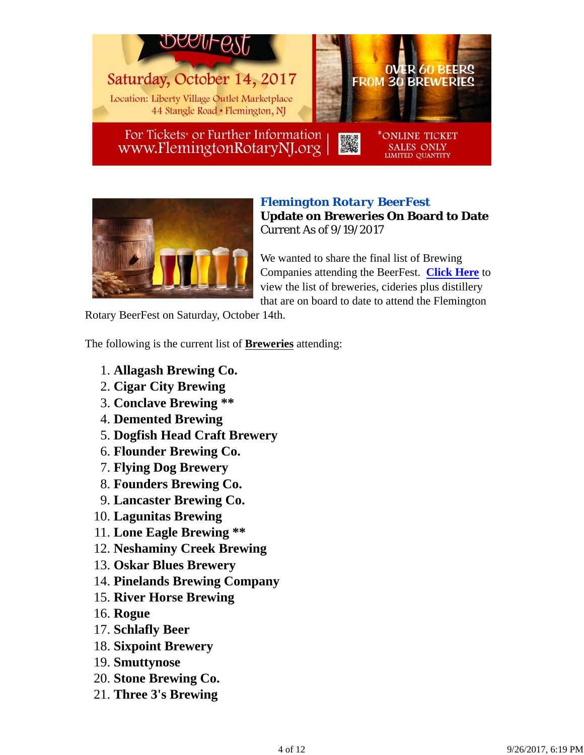

For Tickets<sup>\*</sup> or Further Information www.FlemingtonRotaryNJ.org



## *Flemington Rotary BeerFest* **Update on Breweries On Board to Date** Current As of 9/19/2017

SALES ONLY<br>LIMITED QUANTITY

We wanted to share the final list of Brewing Companies attending the BeerFest. **Click Here** to view the list of breweries, cideries plus distillery that are on board to date to attend the Flemington

Rotary BeerFest on Saturday, October 14th.

The following is the current list of **Breweries** attending:

- 1. **Allagash Brewing Co.**
- 2. **Cigar City Brewing**
- 3. **Conclave Brewing \*\***
- 4. **Demented Brewing**
- 5. **Dogfish Head Craft Brewery**
- 6. **Flounder Brewing Co.**
- 7. **Flying Dog Brewery**
- 8. **Founders Brewing Co.**
- 9. **Lancaster Brewing Co.**
- 10. **Lagunitas Brewing**
- 11. **Lone Eagle Brewing \*\***
- 12. **Neshaminy Creek Brewing**
- 13. **Oskar Blues Brewery**
- 14. **Pinelands Brewing Company**
- 15. **River Horse Brewing**
- 16. **Rogue**
- 17. **Schlafly Beer**
- 18. **Sixpoint Brewery**
- 19. **Smuttynose**
- 20. **Stone Brewing Co.**
- 21. **Three 3's Brewing**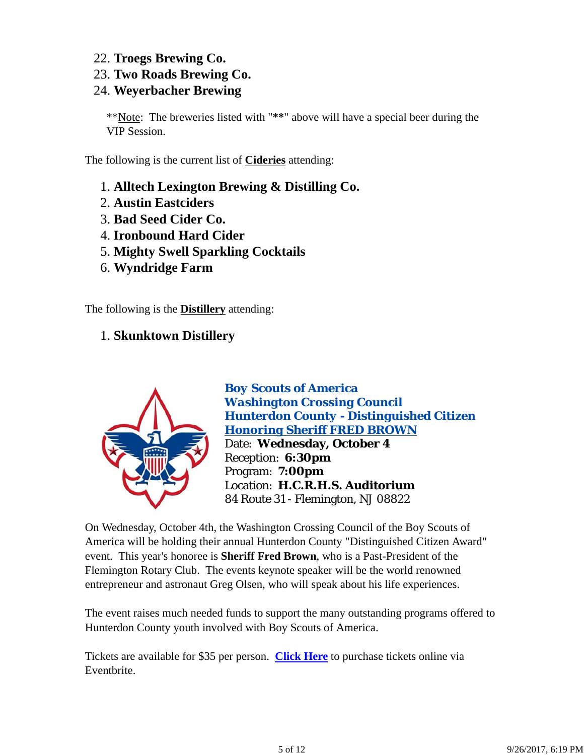- 22. **Troegs Brewing Co.**
- 23. **Two Roads Brewing Co.**

# 24. **Weyerbacher Brewing**

\*\*Note: The breweries listed with "**\*\***" above will have a special beer during the VIP Session.

The following is the current list of **Cideries** attending:

- 1. **Alltech Lexington Brewing & Distilling Co.**
- 2. **Austin Eastciders**
- 3. **Bad Seed Cider Co.**
- 4. **Ironbound Hard Cider**
- 5. **Mighty Swell Sparkling Cocktails**
- 6. **Wyndridge Farm**

The following is the **Distillery** attending:

# 1. **Skunktown Distillery**



*Boy Scouts of America Washington Crossing Council Hunterdon County - Distinguished Citizen Honoring Sheriff FRED BROWN* Date: **Wednesday, October 4** Reception: **6:30pm** Program: **7:00pm** Location: **H.C.R.H.S. Auditorium** 84 Route 31 - Flemington, NJ 08822

On Wednesday, October 4th, the Washington Crossing Council of the Boy Scouts of America will be holding their annual Hunterdon County "Distinguished Citizen Award" event. This year's honoree is **Sheriff Fred Brown**, who is a Past-President of the Flemington Rotary Club. The events keynote speaker will be the world renowned entrepreneur and astronaut Greg Olsen, who will speak about his life experiences.

The event raises much needed funds to support the many outstanding programs offered to Hunterdon County youth involved with Boy Scouts of America.

Tickets are available for \$35 per person. **Click Here** to purchase tickets online via Eventbrite.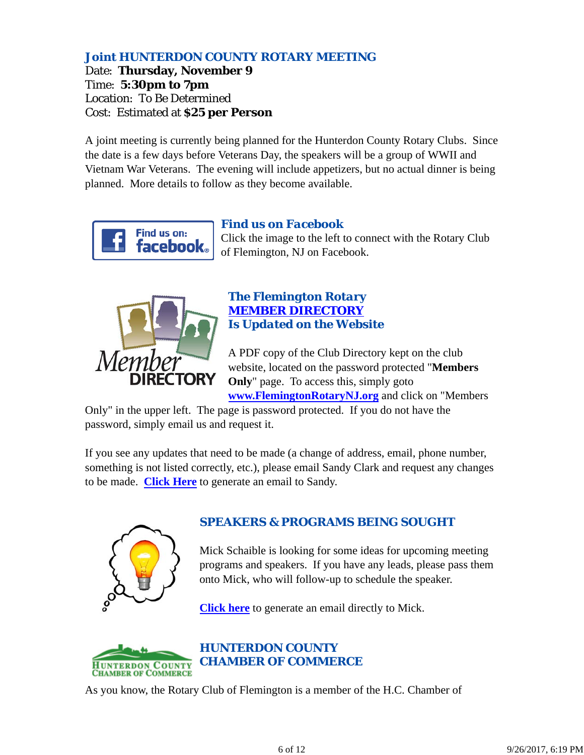# *Joint HUNTERDON COUNTY ROTARY MEETING*

Date: **Thursday, November 9** Time: **5:30pm to 7pm** Location: To Be Determined Cost: Estimated at **\$25 per Person**

A joint meeting is currently being planned for the Hunterdon County Rotary Clubs. Since the date is a few days before Veterans Day, the speakers will be a group of WWII and Vietnam War Veterans. The evening will include appetizers, but no actual dinner is being planned. More details to follow as they become available.



### *Find us on Facebook*

Click the image to the left to connect with the Rotary Club of Flemington, NJ on Facebook.



### *The Flemington Rotary MEMBER DIRECTORY Is Updated on the Website*

A PDF copy of the Club Directory kept on the club website, located on the password protected "**Members Only**" page. To access this, simply goto **www.FlemingtonRotaryNJ.org** and click on "Members

Only" in the upper left. The page is password protected. If you do not have the password, simply email us and request it.

If you see any updates that need to be made (a change of address, email, phone number, something is not listed correctly, etc.), please email Sandy Clark and request any changes to be made. **Click Here** to generate an email to Sandy.



# *SPEAKERS & PROGRAMS BEING SOUGHT*

Mick Schaible is looking for some ideas for upcoming meeting programs and speakers. If you have any leads, please pass them onto Mick, who will follow-up to schedule the speaker.

**Click here** to generate an email directly to Mick.



# *HUNTERDON COUNTY CHAMBER OF COMMERCE*

As you know, the Rotary Club of Flemington is a member of the H.C. Chamber of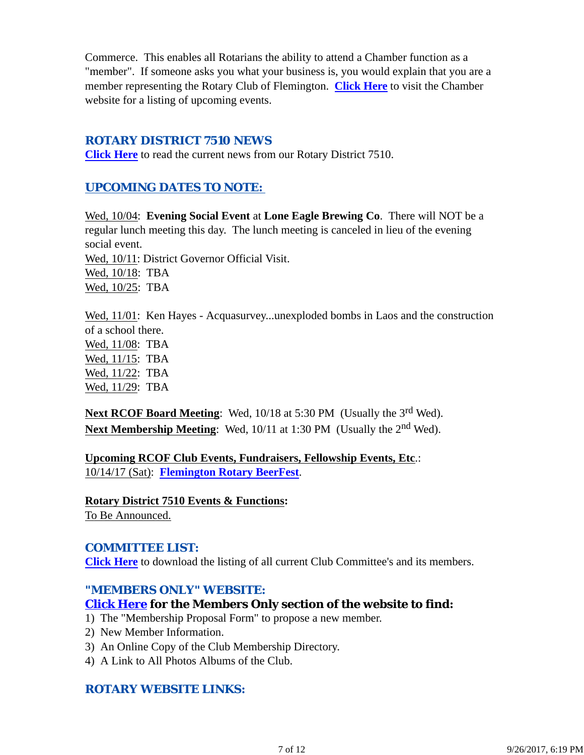Commerce. This enables all Rotarians the ability to attend a Chamber function as a "member". If someone asks you what your business is, you would explain that you are a member representing the Rotary Club of Flemington. **Click Here** to visit the Chamber website for a listing of upcoming events.

#### *ROTARY DISTRICT 7510 NEWS*

**Click Here** to read the current news from our Rotary District 7510.

## *UPCOMING DATES TO NOTE:*

Wed, 10/04: **Evening Social Event** at **Lone Eagle Brewing Co**. There will NOT be a regular lunch meeting this day. The lunch meeting is canceled in lieu of the evening social event. Wed, 10/11: District Governor Official Visit. Wed, 10/18: TBA Wed, 10/25: TBA

Wed,  $11/01$ : Ken Hayes - Acquasurvey...unexploded bombs in Laos and the construction of a school there.

Wed, 11/08: TBA Wed, 11/15: TBA Wed, 11/22: TBA Wed, 11/29: TBA

**Next RCOF Board Meeting:** Wed, 10/18 at 5:30 PM (Usually the 3<sup>rd</sup> Wed). **Next Membership Meeting:** Wed, 10/11 at 1:30 PM (Usually the 2<sup>nd</sup> Wed).

**Upcoming RCOF Club Events, Fundraisers, Fellowship Events, Etc**.: 10/14/17 (Sat): **Flemington Rotary BeerFest**.

**Rotary District 7510 Events & Functions:** To Be Announced.

## *COMMITTEE LIST:*

**Click Here** to download the listing of all current Club Committee's and its members.

#### *"MEMBERS ONLY" WEBSITE:*

## **Click Here for the Members Only section of the website to find:**

- 1) The "Membership Proposal Form" to propose a new member.
- 2) New Member Information.
- 3) An Online Copy of the Club Membership Directory.
- 4) A Link to All Photos Albums of the Club.

## *ROTARY WEBSITE LINKS:*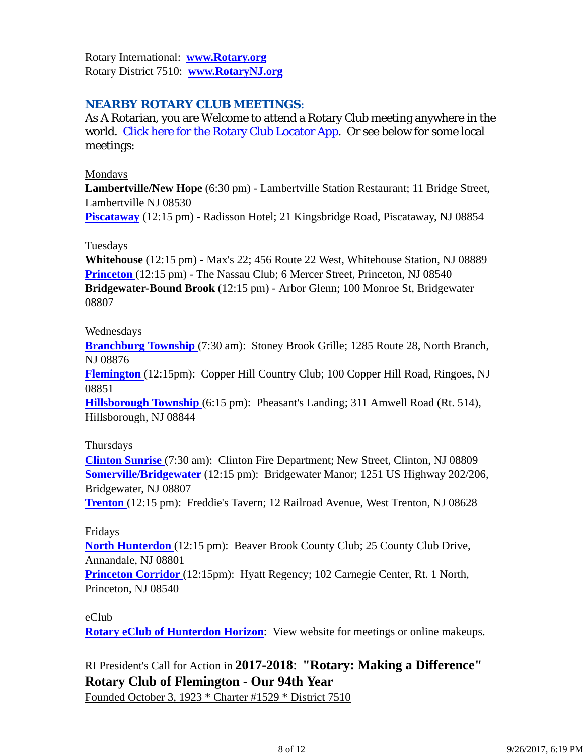Rotary International: **www.Rotary.org** Rotary District 7510: **www.RotaryNJ.org**

## *NEARBY ROTARY CLUB MEETINGS:*

As A Rotarian, you are Welcome to attend a Rotary Club meeting anywhere in the world. Click here for the Rotary Club Locator App. Or see below for some local meetings:

#### Mondays

**Lambertville/New Hope** (6:30 pm) - Lambertville Station Restaurant; 11 Bridge Street, Lambertville NJ 08530

**Piscataway** (12:15 pm) - Radisson Hotel; 21 Kingsbridge Road, Piscataway, NJ 08854

#### **Tuesdays**

**Whitehouse** (12:15 pm) - Max's 22; 456 Route 22 West, Whitehouse Station, NJ 08889 **Princeton** (12:15 pm) - The Nassau Club; 6 Mercer Street, Princeton, NJ 08540 **Bridgewater-Bound Brook** (12:15 pm) - Arbor Glenn; 100 Monroe St, Bridgewater 08807

#### Wednesdays

**Branchburg Township** (7:30 am): Stoney Brook Grille; 1285 Route 28, North Branch, NJ 08876

**Flemington** (12:15pm): Copper Hill Country Club; 100 Copper Hill Road, Ringoes, NJ 08851

**Hillsborough Township** (6:15 pm): Pheasant's Landing; 311 Amwell Road (Rt. 514), Hillsborough, NJ 08844

#### Thursdays

**Clinton Sunrise** (7:30 am): Clinton Fire Department; New Street, Clinton, NJ 08809 **Somerville/Bridgewater** (12:15 pm): Bridgewater Manor; 1251 US Highway 202/206, Bridgewater, NJ 08807

**Trenton** (12:15 pm): Freddie's Tavern; 12 Railroad Avenue, West Trenton, NJ 08628

#### Fridays

**North Hunterdon** (12:15 pm): Beaver Brook County Club; 25 County Club Drive, Annandale, NJ 08801

**Princeton Corridor** (12:15pm): Hyatt Regency; 102 Carnegie Center, Rt. 1 North, Princeton, NJ 08540

#### eClub

**Rotary eClub of Hunterdon Horizon**: View website for meetings or online makeups.

# RI President's Call for Action in **2017-2018**: **"Rotary: Making a Difference" Rotary Club of Flemington - Our 94th Year**

Founded October 3, 1923 \* Charter #1529 \* District 7510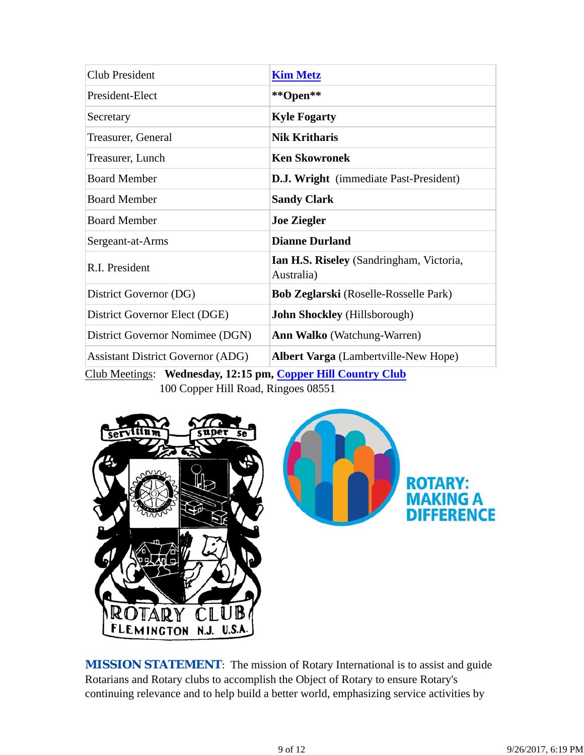| <b>Club President</b>                    | <b>Kim Metz</b>                                               |
|------------------------------------------|---------------------------------------------------------------|
| President-Elect                          | **Open**                                                      |
| Secretary                                | <b>Kyle Fogarty</b>                                           |
| Treasurer, General                       | <b>Nik Kritharis</b>                                          |
| Treasurer, Lunch                         | <b>Ken Skowronek</b>                                          |
| <b>Board Member</b>                      | <b>D.J. Wright</b> (immediate Past-President)                 |
| <b>Board Member</b>                      | <b>Sandy Clark</b>                                            |
| <b>Board Member</b>                      | <b>Joe Ziegler</b>                                            |
| Sergeant-at-Arms                         | <b>Dianne Durland</b>                                         |
| R.I. President                           | <b>Ian H.S. Riseley</b> (Sandringham, Victoria,<br>Australia) |
| District Governor (DG)                   | <b>Bob Zeglarski</b> (Roselle-Rosselle Park)                  |
| District Governor Elect (DGE)            | <b>John Shockley</b> (Hillsborough)                           |
| District Governor Nomimee (DGN)          | <b>Ann Walko</b> (Watchung-Warren)                            |
| <b>Assistant District Governor (ADG)</b> | Albert Varga (Lambertville-New Hope)                          |

Club Meetings: **Wednesday, 12:15 pm, Copper Hill Country Club** 100 Copper Hill Road, Ringoes 08551



**MISSION STATEMENT:** The mission of Rotary International is to assist and guide Rotarians and Rotary clubs to accomplish the Object of Rotary to ensure Rotary's continuing relevance and to help build a better world, emphasizing service activities by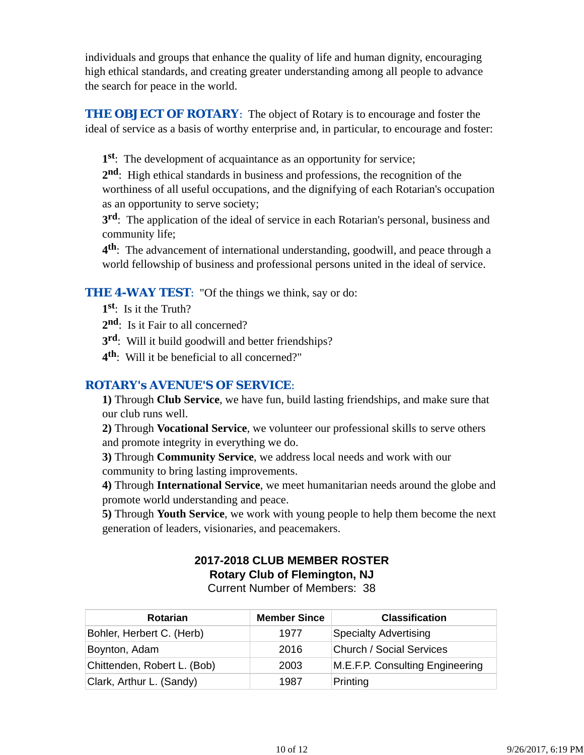individuals and groups that enhance the quality of life and human dignity, encouraging high ethical standards, and creating greater understanding among all people to advance the search for peace in the world.

**THE OBJECT OF ROTARY:** The object of Rotary is to encourage and foster the ideal of service as a basis of worthy enterprise and, in particular, to encourage and foster:

**1st**: The development of acquaintance as an opportunity for service;

**2nd**: High ethical standards in business and professions, the recognition of the worthiness of all useful occupations, and the dignifying of each Rotarian's occupation as an opportunity to serve society;

**3rd**: The application of the ideal of service in each Rotarian's personal, business and community life;

**4th**: The advancement of international understanding, goodwill, and peace through a world fellowship of business and professional persons united in the ideal of service.

## **THE 4-WAY TEST:** "Of the things we think, say or do:

- **1st**: Is it the Truth?
- 2<sup>nd</sup>: Is it Fair to all concerned?
- **3rd**: Will it build goodwill and better friendships?
- **4th**: Will it be beneficial to all concerned?"

## *ROTARY's AVENUE'S OF SERVICE*:

**1)** Through **Club Service**, we have fun, build lasting friendships, and make sure that our club runs well.

**2)** Through **Vocational Service**, we volunteer our professional skills to serve others and promote integrity in everything we do.

**3)** Through **Community Service**, we address local needs and work with our community to bring lasting improvements.

**4)** Through **International Service**, we meet humanitarian needs around the globe and promote world understanding and peace.

**5)** Through **Youth Service**, we work with young people to help them become the next generation of leaders, visionaries, and peacemakers.

# **2017-2018 CLUB MEMBER ROSTER Rotary Club of Flemington, NJ**

Current Number of Members: 38

| <b>Rotarian</b>             | <b>Member Since</b> | <b>Classification</b>           |
|-----------------------------|---------------------|---------------------------------|
| Bohler, Herbert C. (Herb)   | 1977                | <b>Specialty Advertising</b>    |
| Boynton, Adam               | 2016                | <b>Church / Social Services</b> |
| Chittenden, Robert L. (Bob) | 2003                | M.E.F.P. Consulting Engineering |
| Clark, Arthur L. (Sandy)    | 1987                | Printing                        |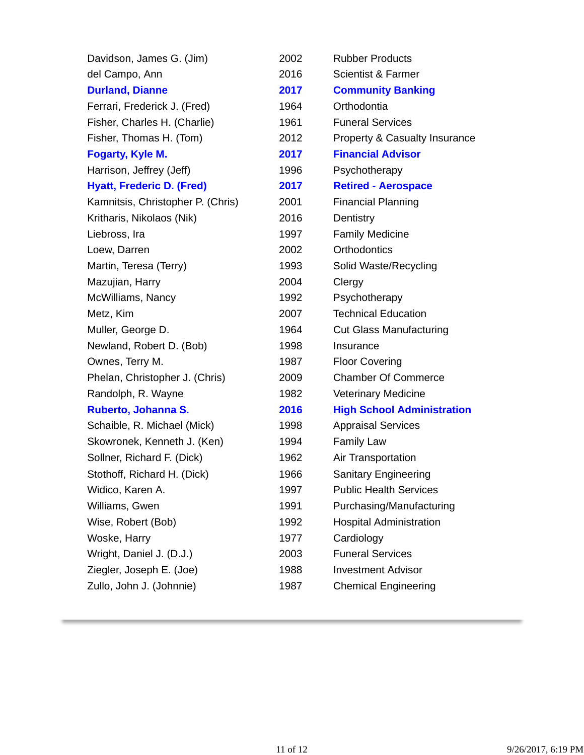| Davidson, James G. (Jim)          | 2002 | <b>Rubber Products</b>            |
|-----------------------------------|------|-----------------------------------|
| del Campo, Ann                    | 2016 | <b>Scientist &amp; Farmer</b>     |
| <b>Durland, Dianne</b>            | 2017 | <b>Community Banking</b>          |
| Ferrari, Frederick J. (Fred)      | 1964 | Orthodontia                       |
| Fisher, Charles H. (Charlie)      | 1961 | <b>Funeral Services</b>           |
| Fisher, Thomas H. (Tom)           | 2012 | Property & Casualty Insurance     |
| Fogarty, Kyle M.                  | 2017 | <b>Financial Advisor</b>          |
| Harrison, Jeffrey (Jeff)          | 1996 | Psychotherapy                     |
| <b>Hyatt, Frederic D. (Fred)</b>  | 2017 | <b>Retired - Aerospace</b>        |
| Kamnitsis, Christopher P. (Chris) | 2001 | <b>Financial Planning</b>         |
| Kritharis, Nikolaos (Nik)         | 2016 | Dentistry                         |
| Liebross, Ira                     | 1997 | <b>Family Medicine</b>            |
| Loew, Darren                      | 2002 | Orthodontics                      |
| Martin, Teresa (Terry)            | 1993 | Solid Waste/Recycling             |
| Mazujian, Harry                   | 2004 | Clergy                            |
| McWilliams, Nancy                 | 1992 | Psychotherapy                     |
| Metz, Kim                         | 2007 | <b>Technical Education</b>        |
| Muller, George D.                 | 1964 | <b>Cut Glass Manufacturing</b>    |
| Newland, Robert D. (Bob)          | 1998 | Insurance                         |
| Ownes, Terry M.                   | 1987 | <b>Floor Covering</b>             |
| Phelan, Christopher J. (Chris)    | 2009 | <b>Chamber Of Commerce</b>        |
| Randolph, R. Wayne                | 1982 | <b>Veterinary Medicine</b>        |
| Ruberto, Johanna S.               | 2016 | <b>High School Administration</b> |
| Schaible, R. Michael (Mick)       | 1998 | <b>Appraisal Services</b>         |
| Skowronek, Kenneth J. (Ken)       | 1994 | <b>Family Law</b>                 |
| Sollner, Richard F. (Dick)        | 1962 | Air Transportation                |
| Stothoff, Richard H. (Dick)       | 1966 | Sanitary Engineering              |
| Widico, Karen A.                  | 1997 | <b>Public Health Services</b>     |
| Williams, Gwen                    | 1991 | Purchasing/Manufacturing          |
| Wise, Robert (Bob)                | 1992 | <b>Hospital Administration</b>    |
| Woske, Harry                      | 1977 | Cardiology                        |
| Wright, Daniel J. (D.J.)          | 2003 | <b>Funeral Services</b>           |
| Ziegler, Joseph E. (Joe)          | 1988 | <b>Investment Advisor</b>         |
| Zullo, John J. (Johnnie)          | 1987 | <b>Chemical Engineering</b>       |